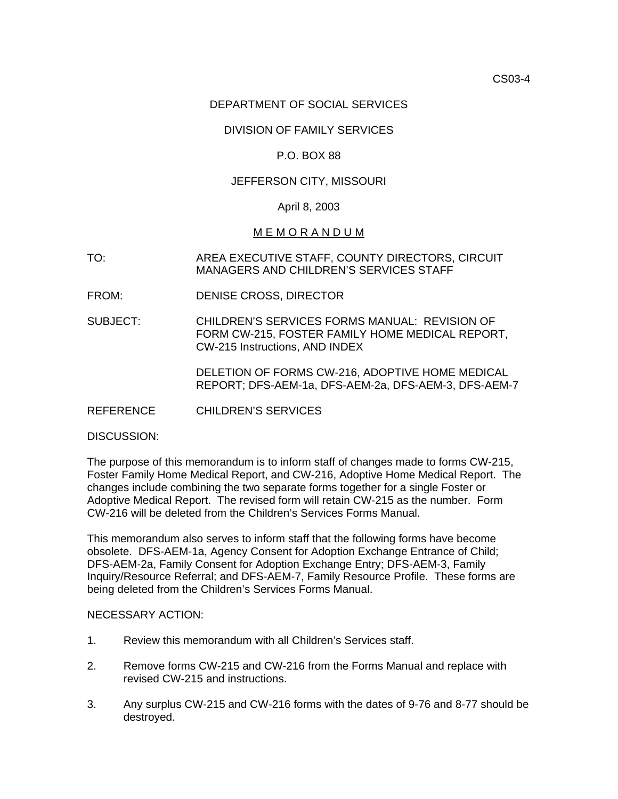## DEPARTMENT OF SOCIAL SERVICES

## DIVISION OF FAMILY SERVICES

### P.O. BOX 88

### JEFFERSON CITY, MISSOURI

#### April 8, 2003

## M E M O R A N D U M

- TO: AREA EXECUTIVE STAFF, COUNTY DIRECTORS, CIRCUIT MANAGERS AND CHILDREN'S SERVICES STAFF
- FROM: DENISE CROSS, DIRECTOR
- SUBJECT: CHILDREN'S SERVICES FORMS MANUAL: REVISION OF FORM CW-215, FOSTER FAMILY HOME MEDICAL REPORT, [CW-215 Instructions](http://dss.missouri.gov/cd/info/memos/2003/cs04/CW-215instructions.pdf), AND INDEX

DELETION OF FORMS CW-216, ADOPTIVE HOME MEDICAL REPORT; DFS-AEM-1a, DFS-AEM-2a, DFS-AEM-3, DFS-AEM-7

REFERENCE CHILDREN'S SERVICES

DISCUSSION:

The purpose of this memorandum is to inform staff of changes made to forms CW-215, Foster Family Home Medical Report, and CW-216, Adoptive Home Medical Report. The changes include combining the two separate forms together for a single Foster or Adoptive Medical Report. The revised form will retain CW-215 as the number. Form CW-216 will be deleted from the Children's Services Forms Manual.

This memorandum also serves to inform staff that the following forms have become obsolete. DFS-AEM-1a, Agency Consent for Adoption Exchange Entrance of Child; DFS-AEM-2a, Family Consent for Adoption Exchange Entry; DFS-AEM-3, Family Inquiry/Resource Referral; and DFS-AEM-7, Family Resource Profile. These forms are being deleted from the Children's Services Forms Manual.

#### NECESSARY ACTION:

- 1. Review this memorandum with all Children's Services staff.
- 2. Remove forms CW-215 and CW-216 from the Forms Manual and replace with revised CW-215 and instructions.
- 3. Any surplus CW-215 and CW-216 forms with the dates of 9-76 and 8-77 should be destroyed.